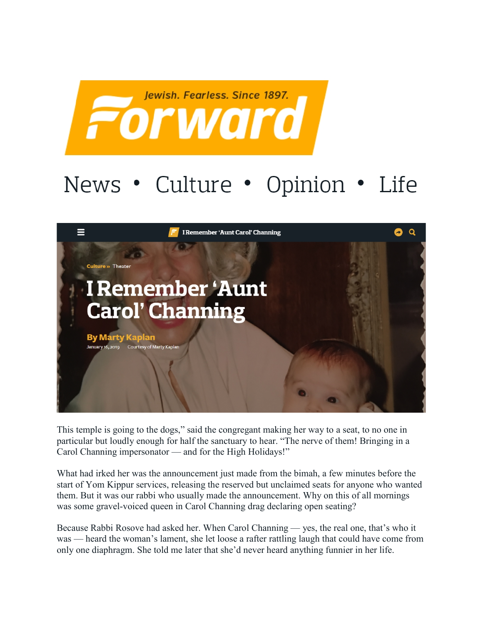

## News • Culture • Opinion • Life



This temple is going to the dogs," said the congregant making her way to a seat, to no one in particular but loudly enough for half the sanctuary to hear. "The nerve of them! Bringing in a Carol Channing impersonator — and for the High Holidays!"

What had irked her was the announcement just made from the bimah, a few minutes before the start of Yom Kippur services, releasing the reserved but unclaimed seats for anyone who wanted them. But it was our rabbi who usually made the announcement. Why on this of all mornings was some gravel-voiced queen in Carol Channing drag declaring open seating?

Because Rabbi Rosove had asked her. When Carol Channing — yes, the real one, that's who it was — heard the woman's lament, she let loose a rafter rattling laugh that could have come from only one diaphragm. She told me later that she'd never heard anything funnier in her life.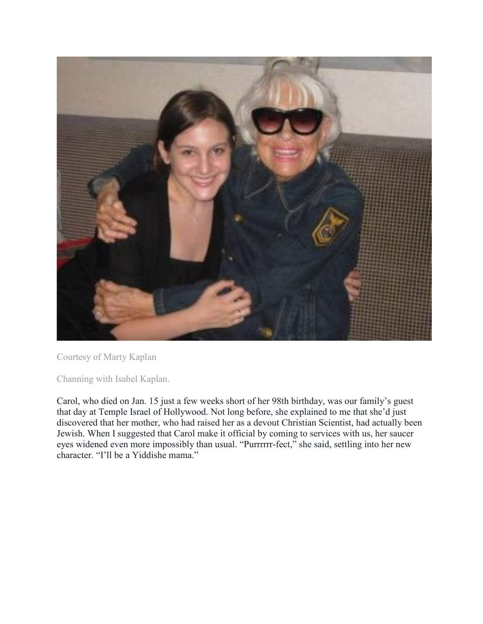

Courtesy of Marty Kaplan

Channing with Isabel Kaplan.

Carol, who died on Jan. 15 just a few weeks short of her 98th birthday, was our family's guest that day at Temple Israel of Hollywood. Not long before, she explained to me that she'd just discovered that her mother, who had raised her as a devout Christian Scientist, had actually been Jewish. When I suggested that Carol make it official by coming to services with us, her saucer eyes widened even more impossibly than usual. "Purrrrrr-fect," she said, settling into her new character. "I'll be a Yiddishe mama."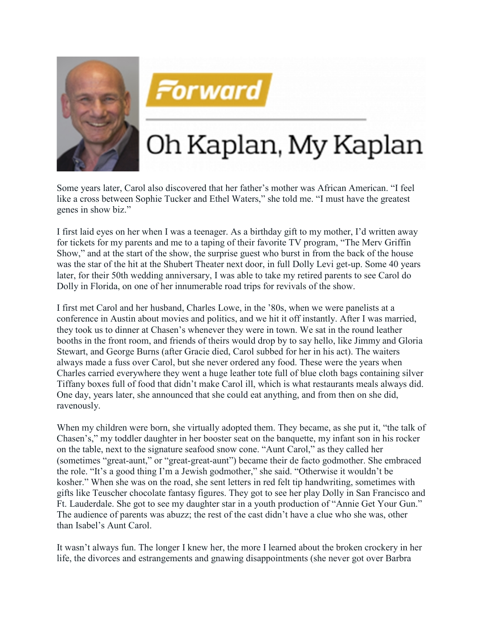



## Oh Kaplan, My Kaplan

Some years later, Carol also discovered that her father's mother was African American. "I feel like a cross between Sophie Tucker and Ethel Waters," she told me. "I must have the greatest genes in show biz."

I first laid eyes on her when I was a teenager. As a birthday gift to my mother, I'd written away for tickets for my parents and me to a taping of their favorite TV program, "The Merv Griffin Show," and at the start of the show, the surprise guest who burst in from the back of the house was the star of the hit at the Shubert Theater next door, in full Dolly Levi get-up. Some 40 years later, for their 50th wedding anniversary, I was able to take my retired parents to see Carol do Dolly in Florida, on one of her innumerable road trips for revivals of the show.

I first met Carol and her husband, Charles Lowe, in the '80s, when we were panelists at a conference in Austin about movies and politics, and we hit it off instantly. After I was married, they took us to dinner at Chasen's whenever they were in town. We sat in the round leather booths in the front room, and friends of theirs would drop by to say hello, like Jimmy and Gloria Stewart, and George Burns (after Gracie died, Carol subbed for her in his act). The waiters always made a fuss over Carol, but she never ordered any food. These were the years when Charles carried everywhere they went a huge leather tote full of blue cloth bags containing silver Tiffany boxes full of food that didn't make Carol ill, which is what restaurants meals always did. One day, years later, she announced that she could eat anything, and from then on she did, ravenously.

When my children were born, she virtually adopted them. They became, as she put it, "the talk of Chasen's," my toddler daughter in her booster seat on the banquette, my infant son in his rocker on the table, next to the signature seafood snow cone. "Aunt Carol," as they called her (sometimes "great-aunt," or "great-great-aunt") became their de facto godmother. She embraced the role. "It's a good thing I'm a Jewish godmother," she said. "Otherwise it wouldn't be kosher." When she was on the road, she sent letters in red felt tip handwriting, sometimes with gifts like Teuscher chocolate fantasy figures. They got to see her play Dolly in San Francisco and Ft. Lauderdale. She got to see my daughter star in a youth production of "Annie Get Your Gun." The audience of parents was abuzz; the rest of the cast didn't have a clue who she was, other than Isabel's Aunt Carol.

It wasn't always fun. The longer I knew her, the more I learned about the broken crockery in her life, the divorces and estrangements and gnawing disappointments (she never got over Barbra